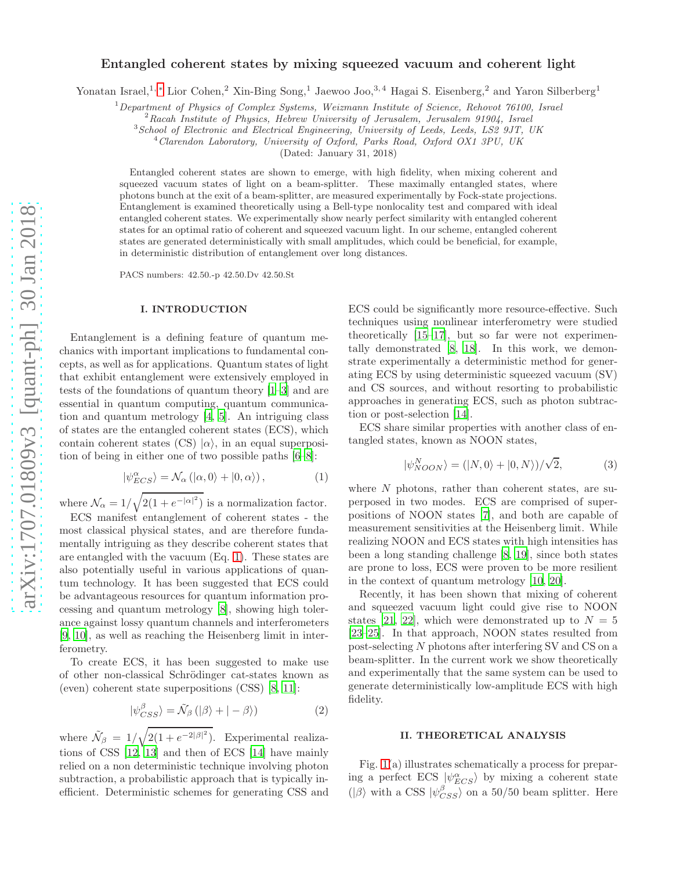# Entangled coherent states by mixing squeezed vacuum and coherent light

Yonatan Israel,<sup>1, \*</sup> Lior Cohen,<sup>2</sup> Xin-Bing Song,<sup>1</sup> Jaewoo Joo,<sup>3,4</sup> Hagai S. Eisenberg,<sup>2</sup> and Yaron Silberberg<sup>1</sup>

 $1$ Department of Physics of Complex Systems, Weizmann Institute of Science, Rehovot 76100, Israel

<sup>2</sup> Racah Institute of Physics, Hebrew University of Jerusalem, Jerusalem 91904, Israel

 $3$ School of Electronic and Electrical Engineering, University of Leeds, Leeds, LS2 9JT, UK

<sup>4</sup>Clarendon Laboratory, University of Oxford, Parks Road, Oxford OX1 3PU, UK

(Dated: January 31, 2018)

Entangled coherent states are shown to emerge, with high fidelity, when mixing coherent and squeezed vacuum states of light on a beam-splitter. These maximally entangled states, where photons bunch at the exit of a beam-splitter, are measured experimentally by Fock-state projections. Entanglement is examined theoretically using a Bell-type nonlocality test and compared with ideal entangled coherent states. We experimentally show nearly perfect similarity with entangled coherent states for an optimal ratio of coherent and squeezed vacuum light. In our scheme, entangled coherent states are generated deterministically with small amplitudes, which could be beneficial, for example, in deterministic distribution of entanglement over long distances.

PACS numbers: 42.50.-p 42.50.Dv 42.50.St

#### I. INTRODUCTION

Entanglement is a defining feature of quantum mechanics with important implications to fundamental concepts, as well as for applications. Quantum states of light that exhibit entanglement were extensively employed in tests of the foundations of quantum theory [\[1](#page-4-1)[–3\]](#page-4-2) and are essential in quantum computing, quantum communication and quantum metrology [\[4,](#page-4-3) [5](#page-4-4)]. An intriguing class of states are the entangled coherent states (ECS), which contain coherent states (CS)  $|\alpha\rangle$ , in an equal superposition of being in either one of two possible paths [\[6](#page-4-5)[–8](#page-4-6)]:

<span id="page-0-0"></span>
$$
|\psi_{ECS}^{\alpha}\rangle = \mathcal{N}_{\alpha}(|\alpha,0\rangle + |0,\alpha\rangle), \qquad (1)
$$

where  $\mathcal{N}_{\alpha} = 1/\sqrt{2(1 + e^{-|\alpha|^2})}$  is a normalization factor.

ECS manifest entanglement of coherent states - the most classical physical states, and are therefore fundamentally intriguing as they describe coherent states that are entangled with the vacuum (Eq. [1\)](#page-0-0). These states are also potentially useful in various applications of quantum technology. It has been suggested that ECS could be advantageous resources for quantum information processing and quantum metrology [\[8](#page-4-6)], showing high tolerance against lossy quantum channels and interferometers [\[9,](#page-4-7) [10\]](#page-4-8), as well as reaching the Heisenberg limit in interferometry.

To create ECS, it has been suggested to make use of other non-classical Schrödinger cat-states known as (even) coherent state superpositions (CSS) [\[8,](#page-4-6) [11\]](#page-4-9):

$$
|\psi_{CSS}^{\beta}\rangle = \tilde{\mathcal{N}}_{\beta} (|\beta\rangle + | - \beta\rangle)
$$
 (2)

where  $\tilde{\mathcal{N}}_{\beta} = 1/\sqrt{2(1 + e^{-2|\beta|^2})}$ . Experimental realizations of CSS [\[12,](#page-4-10) [13](#page-4-11)] and then of ECS [\[14\]](#page-4-12) have mainly relied on a non deterministic technique involving photon subtraction, a probabilistic approach that is typically inefficient. Deterministic schemes for generating CSS and ECS could be significantly more resource-effective. Such techniques using nonlinear interferometry were studied theoretically [\[15](#page-4-13)[–17\]](#page-5-0), but so far were not experimentally demonstrated [\[8](#page-4-6), [18](#page-5-1)]. In this work, we demonstrate experimentally a deterministic method for generating ECS by using deterministic squeezed vacuum (SV) and CS sources, and without resorting to probabilistic approaches in generating ECS, such as photon subtraction or post-selection [\[14\]](#page-4-12).

ECS share similar properties with another class of entangled states, known as NOON states,

$$
|\psi_{NOON}^{N}\rangle = (|N,0\rangle + |0,N\rangle)/\sqrt{2},
$$
 (3)

where  $N$  photons, rather than coherent states, are superposed in two modes. ECS are comprised of superpositions of NOON states [\[7](#page-4-14)], and both are capable of measurement sensitivities at the Heisenberg limit. While realizing NOON and ECS states with high intensities has been a long standing challenge [\[8,](#page-4-6) [19](#page-5-2)], since both states are prone to loss, ECS were proven to be more resilient in the context of quantum metrology [\[10](#page-4-8), [20](#page-5-3)].

Recently, it has been shown that mixing of coherent and squeezed vacuum light could give rise to NOON states [\[21](#page-5-4), [22](#page-5-5)], which were demonstrated up to  $N = 5$ [\[23](#page-5-6)[–25\]](#page-5-7). In that approach, NOON states resulted from post-selecting N photons after interfering SV and CS on a beam-splitter. In the current work we show theoretically and experimentally that the same system can be used to generate deterministically low-amplitude ECS with high fidelity.

#### II. THEORETICAL ANALYSIS

<span id="page-0-1"></span>Fig. [1\(](#page-1-0)a) illustrates schematically a process for preparing a perfect ECS  $|\psi_{ECS}^{\alpha}\rangle$  by mixing a coherent state ( $|\beta\rangle$  with a CSS  $|\psi_{CSS}^{\beta}\rangle$  on a 50/50 beam splitter. Here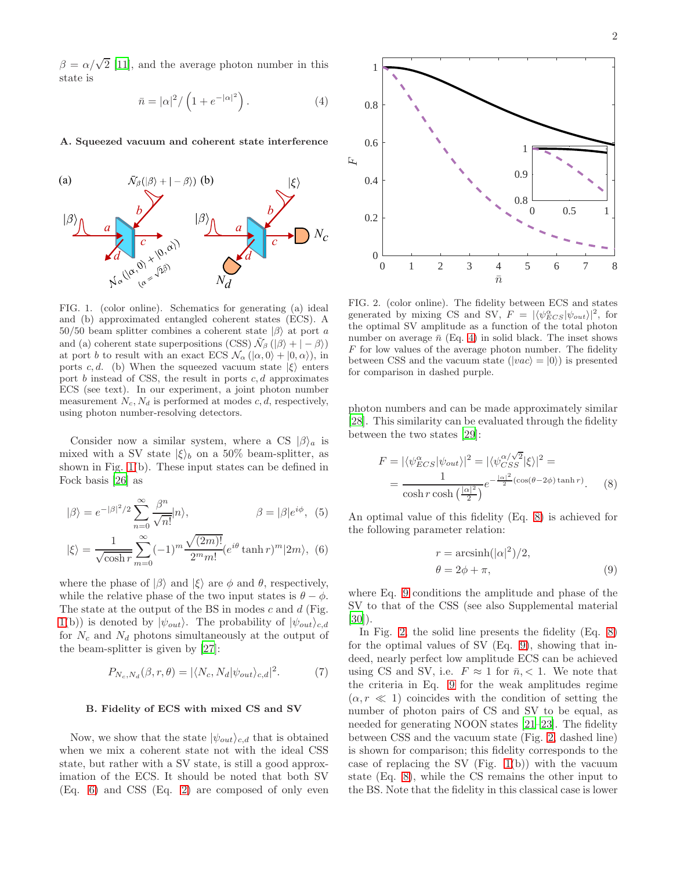$\beta = \alpha/\sqrt{2}$  [\[11\]](#page-4-9), and the average photon number in this state is

<span id="page-1-2"></span>
$$
\bar{n} = |\alpha|^2 / \left(1 + e^{-|\alpha|^2}\right). \tag{4}
$$

A. Squeezed vacuum and coherent state interference



<span id="page-1-0"></span>FIG. 1. (color online). Schematics for generating (a) ideal and (b) approximated entangled coherent states (ECS). A 50/50 beam splitter combines a coherent state  $|\beta\rangle$  at port a and (a) coherent state superpositions (CSS)  $\tilde{\mathcal{N}}_{\beta}$  ( $|\beta\rangle + | - \beta\rangle$ ) at port b to result with an exact ECS  $\mathcal{N}_{\alpha}$  ( $|\alpha, 0\rangle + |0, \alpha\rangle$ ), in ports c, d. (b) When the squeezed vacuum state  $|\xi\rangle$  enters port  $b$  instead of CSS, the result in ports  $c, d$  approximates ECS (see text). In our experiment, a joint photon number measurement  $N_c$ ,  $N_d$  is performed at modes  $c, d$ , respectively, using photon number-resolving detectors.

Consider now a similar system, where a CS  $|\beta\rangle_a$  is mixed with a SV state  $|\xi\rangle_b$  on a 50% beam-splitter, as shown in Fig. [1\(](#page-1-0)b). These input states can be defined in Fock basis [\[26\]](#page-5-8) as

$$
|\beta\rangle = e^{-|\beta|^2/2} \sum_{n=0}^{\infty} \frac{\beta^n}{\sqrt{n!}} |n\rangle, \qquad \beta = |\beta| e^{i\phi}, \quad (5)
$$

$$
|\xi\rangle = \frac{1}{\sqrt{\beta}} \sum_{n=0}^{\infty} (-1)^m \frac{\sqrt{(2m)!}}{(\sqrt{2n})!} e^{i\theta} \tanh r)^m |2m\rangle, \quad (6)
$$

$$
|\xi\rangle = \frac{1}{\sqrt{\cosh r}} \sum_{m=0}^{\infty} (-1)^m \frac{\sqrt{(2m)!}}{2^m m!} (e^{i\theta} \tanh r)^m |2m\rangle, \tag{6}
$$

where the phase of  $|\beta\rangle$  and  $|\xi\rangle$  are  $\phi$  and  $\theta$ , respectively, while the relative phase of the two input states is  $\theta - \phi$ . The state at the output of the BS in modes  $c$  and  $d$  (Fig. [1\(](#page-1-0)b)) is denoted by  $|\psi_{out}\rangle$ . The probability of  $|\psi_{out}\rangle_{c,d}$ for  $N_c$  and  $N_d$  photons simultaneously at the output of the beam-splitter is given by [\[27\]](#page-5-9):

$$
P_{N_c,N_d}(\beta,r,\theta) = |\langle N_c, N_d | \psi_{out} \rangle_{c,d}|^2. \tag{7}
$$

### B. Fidelity of ECS with mixed CS and SV

Now, we show that the state  $|\psi_{out}\rangle_{c,d}$  that is obtained when we mix a coherent state not with the ideal CSS state, but rather with a SV state, is still a good approximation of the ECS. It should be noted that both SV (Eq. [6\)](#page-1-1) and CSS (Eq. [2\)](#page-0-1) are composed of only even



<span id="page-1-5"></span>FIG. 2. (color online). The fidelity between ECS and states generated by mixing CS and SV,  $F = |\langle \psi_{ECS}^{\alpha} | \psi_{out} \rangle|^2$ , for the optimal SV amplitude as a function of the total photon number on average  $\bar{n}$  (Eq. [4\)](#page-1-2) in solid black. The inset shows  $F$  for low values of the average photon number. The fidelity between CSS and the vacuum state  $(|vac\rangle = |0\rangle)$  is presented for comparison in dashed purple.

photon numbers and can be made approximately similar [\[28\]](#page-5-10). This similarity can be evaluated through the fidelity between the two states [\[29\]](#page-5-11):

$$
F = |\langle \psi_{ECS}^{\alpha} | \psi_{out} \rangle|^2 = |\langle \psi_{CSS}^{\alpha/\sqrt{2}} | \xi \rangle|^2 =
$$
  
= 
$$
\frac{1}{\cosh r \cosh\left(\frac{|\alpha|^2}{2}\right)} e^{-\frac{|\alpha|^2}{2} (\cos(\theta - 2\phi) \tanh r)}.
$$
 (8)

<span id="page-1-1"></span>An optimal value of this fidelity (Eq. [8\)](#page-1-3) is achieved for the following parameter relation:

<span id="page-1-4"></span><span id="page-1-3"></span>
$$
r = \operatorname{arcsinh}(|\alpha|^2)/2,
$$
  
\n
$$
\theta = 2\phi + \pi,
$$
\n(9)

where Eq. [9](#page-1-4) conditions the amplitude and phase of the SV to that of the CSS (see also Supplemental material [\[30\]](#page-5-12)).

<span id="page-1-6"></span>In Fig. [2,](#page-1-5) the solid line presents the fidelity (Eq. [8\)](#page-1-3) for the optimal values of SV (Eq. [9\)](#page-1-4), showing that indeed, nearly perfect low amplitude ECS can be achieved using CS and SV, i.e.  $F \approx 1$  for  $\bar{n}, < 1$ . We note that the criteria in Eq. [9](#page-1-4) for the weak amplitudes regime  $(\alpha, r \ll 1)$  coincides with the condition of setting the number of photon pairs of CS and SV to be equal, as needed for generating NOON states [\[21](#page-5-4)[–23](#page-5-6)]. The fidelity between CSS and the vacuum state (Fig. [2,](#page-1-5) dashed line) is shown for comparison; this fidelity corresponds to the case of replacing the SV (Fig.  $1(b)$ ) with the vacuum state (Eq. [8\)](#page-1-3), while the CS remains the other input to the BS. Note that the fidelity in this classical case is lower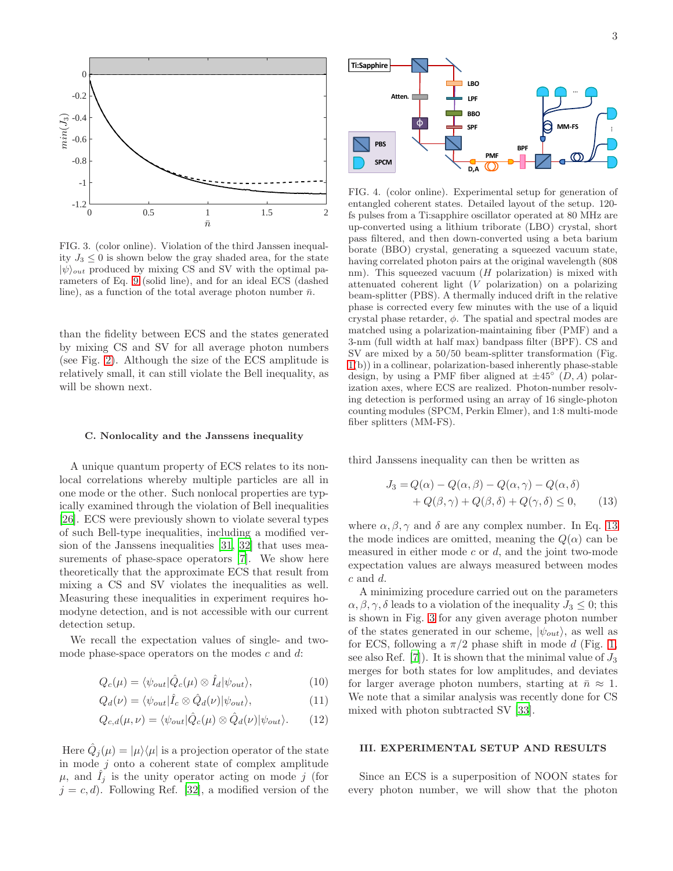

<span id="page-2-1"></span>FIG. 3. (color online). Violation of the third Janssen inequality  $J_3 \leq 0$  is shown below the gray shaded area, for the state  $|\psi\rangle_{out}$  produced by mixing CS and SV with the optimal parameters of Eq. [9](#page-1-4) (solid line), and for an ideal ECS (dashed line), as a function of the total average photon number  $\bar{n}$ .

than the fidelity between ECS and the states generated by mixing CS and SV for all average photon numbers (see Fig. [2\)](#page-1-5). Although the size of the ECS amplitude is relatively small, it can still violate the Bell inequality, as will be shown next.

## C. Nonlocality and the Janssens inequality

A unique quantum property of ECS relates to its nonlocal correlations whereby multiple particles are all in one mode or the other. Such nonlocal properties are typically examined through the violation of Bell inequalities [\[26\]](#page-5-8). ECS were previously shown to violate several types of such Bell-type inequalities, including a modified version of the Janssens inequalities [\[31](#page-5-13), [32\]](#page-5-14) that uses measurements of phase-space operators [\[7](#page-4-14)]. We show here theoretically that the approximate ECS that result from mixing a CS and SV violates the inequalities as well. Measuring these inequalities in experiment requires homodyne detection, and is not accessible with our current detection setup.

We recall the expectation values of single- and twomode phase-space operators on the modes  $c$  and  $d$ :

$$
Q_c(\mu) = \langle \psi_{out} | \hat{Q}_c(\mu) \otimes \hat{I}_d | \psi_{out} \rangle, \tag{10}
$$

$$
Q_d(\nu) = \langle \psi_{out} | \hat{I}_c \otimes \hat{Q}_d(\nu) | \psi_{out} \rangle, \tag{11}
$$

$$
Q_{c,d}(\mu,\nu) = \langle \psi_{out} | \hat{Q}_c(\mu) \otimes \hat{Q}_d(\nu) | \psi_{out} \rangle. \qquad (12)
$$

Here  $\hat{Q}_j(\mu) = |\mu\rangle\langle\mu|$  is a projection operator of the state in mode  $j$  onto a coherent state of complex amplitude  $\mu$ , and  $\tilde{I}_j$  is the unity operator acting on mode j (for  $j = c, d$ . Following Ref. [\[32](#page-5-14)], a modified version of the



<span id="page-2-2"></span>FIG. 4. (color online). Experimental setup for generation of entangled coherent states. Detailed layout of the setup. 120 fs pulses from a Ti:sapphire oscillator operated at 80 MHz are up-converted using a lithium triborate (LBO) crystal, short pass filtered, and then down-converted using a beta barium borate (BBO) crystal, generating a squeezed vacuum state, having correlated photon pairs at the original wavelength (808 nm). This squeezed vacuum  $(H$  polarization) is mixed with attenuated coherent light (V polarization) on a polarizing beam-splitter (PBS). A thermally induced drift in the relative phase is corrected every few minutes with the use of a liquid crystal phase retarder,  $\phi$ . The spatial and spectral modes are matched using a polarization-maintaining fiber (PMF) and a 3-nm (full width at half max) bandpass filter (BPF). CS and SV are mixed by a 50/50 beam-splitter transformation (Fig. [1\(](#page-1-0)b)) in a collinear, polarization-based inherently phase-stable design, by using a PMF fiber aligned at  $\pm 45^\circ (D, A)$  polarization axes, where ECS are realized. Photon-number resolving detection is performed using an array of 16 single-photon counting modules (SPCM, Perkin Elmer), and 1:8 multi-mode fiber splitters (MM-FS).

third Janssens inequality can then be written as

<span id="page-2-0"></span>
$$
J_3 = Q(\alpha) - Q(\alpha, \beta) - Q(\alpha, \gamma) - Q(\alpha, \delta)
$$
  
+ 
$$
Q(\beta, \gamma) + Q(\beta, \delta) + Q(\gamma, \delta) \le 0,
$$
 (13)

where  $\alpha, \beta, \gamma$  and  $\delta$  are any complex number. In Eq. [13](#page-2-0) the mode indices are omitted, meaning the  $Q(\alpha)$  can be measured in either mode  $c$  or  $d$ , and the joint two-mode expectation values are always measured between modes  $c$  and  $d$ .

A minimizing procedure carried out on the parameters  $\alpha, \beta, \gamma, \delta$  leads to a violation of the inequality  $J_3 \leq 0$ ; this is shown in Fig. [3](#page-2-1) for any given average photon number of the states generated in our scheme,  $|\psi_{out}\rangle$ , as well as for ECS, following a  $\pi/2$  phase shift in mode d (Fig. [1,](#page-1-0) see also Ref. [\[7\]](#page-4-14)). It is shown that the minimal value of  $J_3$ merges for both states for low amplitudes, and deviates for larger average photon numbers, starting at  $\bar{n} \approx 1$ . We note that a similar analysis was recently done for CS mixed with photon subtracted SV [\[33\]](#page-5-15).

#### III. EXPERIMENTAL SETUP AND RESULTS

Since an ECS is a superposition of NOON states for every photon number, we will show that the photon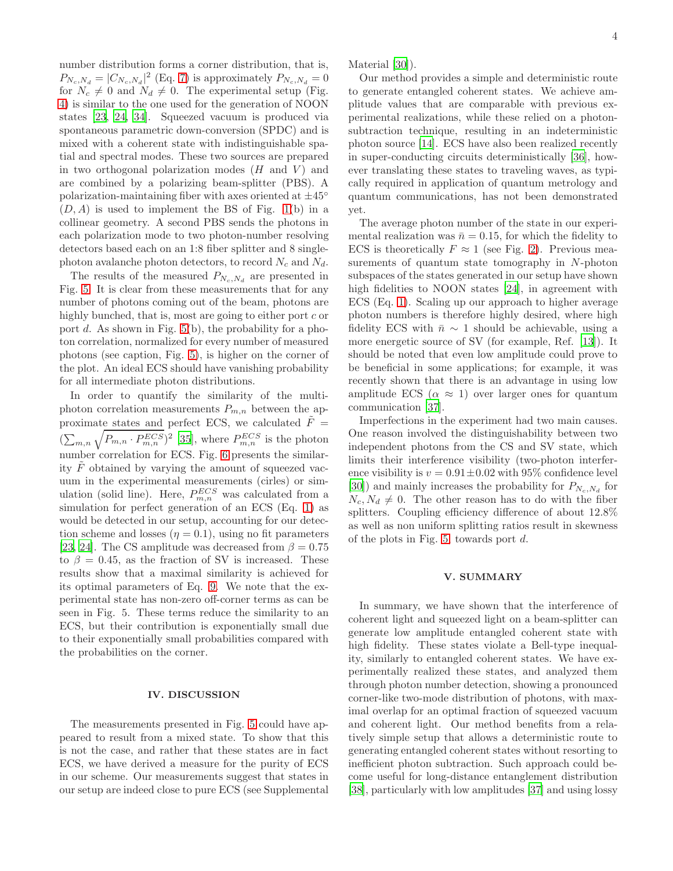number distribution forms a corner distribution, that is,  $P_{N_c,N_d} = |C_{N_c,N_d}|^2$  (Eq. [7\)](#page-1-6) is approximately  $P_{N_c,N_d} = 0$ for  $N_c \neq 0$  and  $N_d \neq 0$ . The experimental setup (Fig. [4\)](#page-2-2) is similar to the one used for the generation of NOON states [\[23,](#page-5-6) [24](#page-5-16), [34\]](#page-5-17). Squeezed vacuum is produced via spontaneous parametric down-conversion (SPDC) and is mixed with a coherent state with indistinguishable spatial and spectral modes. These two sources are prepared in two orthogonal polarization modes  $(H \text{ and } V)$  and are combined by a polarizing beam-splitter (PBS). A polarization-maintaining fiber with axes oriented at  $\pm 45^{\circ}$  $(D, A)$  is used to implement the BS of Fig. [1\(](#page-1-0)b) in a collinear geometry. A second PBS sends the photons in each polarization mode to two photon-number resolving detectors based each on an 1:8 fiber splitter and 8 singlephoton avalanche photon detectors, to record  $N_c$  and  $N_d$ .

The results of the measured  $P_{N_c,N_d}$  are presented in Fig. [5.](#page-4-15) It is clear from these measurements that for any number of photons coming out of the beam, photons are highly bunched, that is, most are going to either port  $c$  or port d. As shown in Fig.  $5(b)$ , the probability for a photon correlation, normalized for every number of measured photons (see caption, Fig. [5\)](#page-4-15), is higher on the corner of the plot. An ideal ECS should have vanishing probability for all intermediate photon distributions.

In order to quantify the similarity of the multiphoton correlation measurements  $P_{m,n}$  between the approximate states and perfect ECS, we calculated  $\tilde{F}$  =  $(\sum_{m,n}\sqrt{P_{m,n}\cdot P_{m,n}^{ECS}})^2$  [\[35\]](#page-5-18), where  $P_{m,n}^{ECS}$  is the photon number correlation for ECS. Fig. [6](#page-4-16) presents the similarity  $F$  obtained by varying the amount of squeezed vacuum in the experimental measurements (cirles) or simulation (solid line). Here,  $P_{m,n}^{ECS}$  was calculated from a simulation for perfect generation of an ECS (Eq. [1\)](#page-0-0) as would be detected in our setup, accounting for our detection scheme and losses  $(\eta = 0.1)$ , using no fit parameters [\[23,](#page-5-6) [24\]](#page-5-16). The CS amplitude was decreased from  $\beta = 0.75$ to  $\beta = 0.45$ , as the fraction of SV is increased. These results show that a maximal similarity is achieved for its optimal parameters of Eq. [9.](#page-1-4) We note that the experimental state has non-zero off-corner terms as can be seen in Fig. 5. These terms reduce the similarity to an ECS, but their contribution is exponentially small due to their exponentially small probabilities compared with the probabilities on the corner.

## IV. DISCUSSION

The measurements presented in Fig. [5](#page-4-15) could have appeared to result from a mixed state. To show that this is not the case, and rather that these states are in fact ECS, we have derived a measure for the purity of ECS in our scheme. Our measurements suggest that states in our setup are indeed close to pure ECS (see Supplemental Material [\[30\]](#page-5-12)).

Our method provides a simple and deterministic route to generate entangled coherent states. We achieve amplitude values that are comparable with previous experimental realizations, while these relied on a photonsubtraction technique, resulting in an indeterministic photon source [\[14\]](#page-4-12). ECS have also been realized recently in super-conducting circuits deterministically [\[36\]](#page-5-19), however translating these states to traveling waves, as typically required in application of quantum metrology and quantum communications, has not been demonstrated yet.

The average photon number of the state in our experimental realization was  $\bar{n} = 0.15$ , for which the fidelity to ECS is theoretically  $F \approx 1$  (see Fig. [2\)](#page-1-5). Previous measurements of quantum state tomography in N-photon subspaces of the states generated in our setup have shown high fidelities to NOON states [\[24\]](#page-5-16), in agreement with ECS (Eq. [1\)](#page-0-0). Scaling up our approach to higher average photon numbers is therefore highly desired, where high fidelity ECS with  $\bar{n} \sim 1$  should be achievable, using a more energetic source of SV (for example, Ref. [\[13](#page-4-11)]). It should be noted that even low amplitude could prove to be beneficial in some applications; for example, it was recently shown that there is an advantage in using low amplitude ECS ( $\alpha \approx 1$ ) over larger ones for quantum communication [\[37](#page-5-20)].

Imperfections in the experiment had two main causes. One reason involved the distinguishability between two independent photons from the CS and SV state, which limits their interference visibility (two-photon interference visibility is  $v = 0.91 \pm 0.02$  with 95% confidence level [\[30\]](#page-5-12)) and mainly increases the probability for  $P_{N_c,N_d}$  for  $N_c, N_d \neq 0$ . The other reason has to do with the fiber splitters. Coupling efficiency difference of about 12.8% as well as non uniform splitting ratios result in skewness of the plots in Fig. [5,](#page-4-15) towards port d.

## V. SUMMARY

In summary, we have shown that the interference of coherent light and squeezed light on a beam-splitter can generate low amplitude entangled coherent state with high fidelity. These states violate a Bell-type inequality, similarly to entangled coherent states. We have experimentally realized these states, and analyzed them through photon number detection, showing a pronounced corner-like two-mode distribution of photons, with maximal overlap for an optimal fraction of squeezed vacuum and coherent light. Our method benefits from a relatively simple setup that allows a deterministic route to generating entangled coherent states without resorting to inefficient photon subtraction. Such approach could become useful for long-distance entanglement distribution [\[38\]](#page-5-21), particularly with low amplitudes [\[37\]](#page-5-20) and using lossy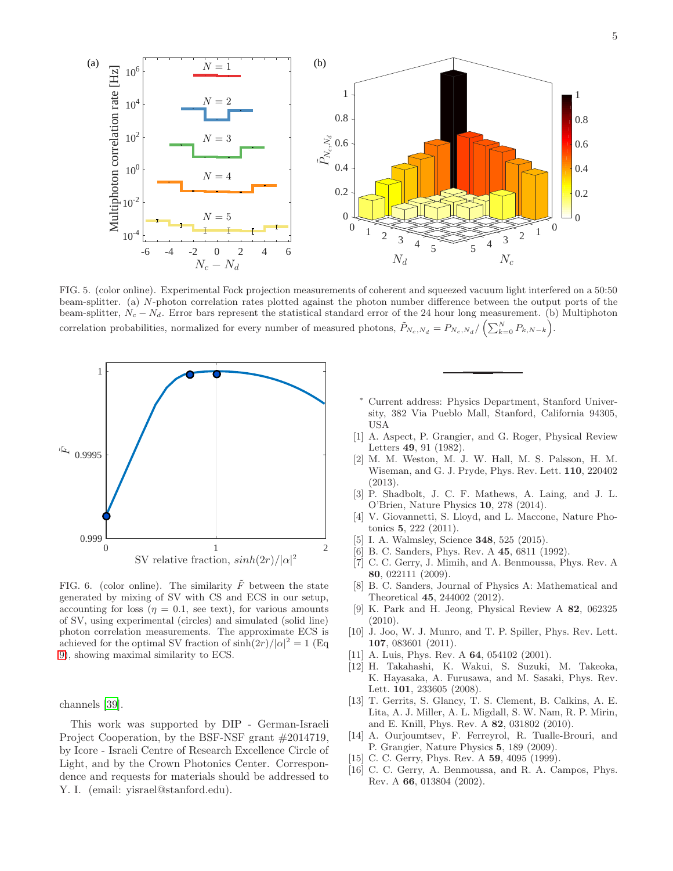

<span id="page-4-15"></span>FIG. 5. (color online). Experimental Fock projection measurements of coherent and squeezed vacuum light interfered on a 50:50 beam-splitter. (a) N-photon correlation rates plotted against the photon number difference between the output ports of the beam-splitter,  $N_c - N_d$ . Error bars represent the statistical standard error of the 24 hour long measurement. (b) Multiphoton correlation probabilities, normalized for every number of measured photons,  $\tilde{P}_{N_c,N_d} = P_{N_c,N_d}/\left(\sum_{k=0}^{N} P_{k,N-k}\right)$ .



<span id="page-4-16"></span>FIG. 6. (color online). The similarity  $\tilde{F}$  between the state generated by mixing of SV with CS and ECS in our setup, accounting for loss ( $\eta = 0.1$ , see text), for various amounts of SV, using experimental (circles) and simulated (solid line) photon correlation measurements. The approximate ECS is achieved for the optimal SV fraction of  $\sinh(2r)/|\alpha|^2 = 1$  (Eq. [9\)](#page-1-4), showing maximal similarity to ECS.

channels [\[39\]](#page-5-22).

This work was supported by DIP - German-Israeli Project Cooperation, by the BSF-NSF grant #2014719, by Icore - Israeli Centre of Research Excellence Circle of Light, and by the Crown Photonics Center. Correspondence and requests for materials should be addressed to Y. I. (email: yisrael@stanford.edu).

- <span id="page-4-0"></span>Current address: Physics Department, Stanford University, 382 Via Pueblo Mall, Stanford, California 94305, USA
- <span id="page-4-1"></span>[1] A. Aspect, P. Grangier, and G. Roger, Physical Review Letters 49, 91 (1982).
- [2] M. M. Weston, M. J. W. Hall, M. S. Palsson, H. M. Wiseman, and G. J. Pryde, Phys. Rev. Lett. 110, 220402 (2013).
- <span id="page-4-2"></span>[3] P. Shadbolt, J. C. F. Mathews, A. Laing, and J. L. O'Brien, Nature Physics 10, 278 (2014).
- <span id="page-4-3"></span>[4] V. Giovannetti, S. Lloyd, and L. Maccone, Nature Photonics 5, 222 (2011).
- <span id="page-4-4"></span>I. A. Walmsley, Science **348**, 525 (2015).
- <span id="page-4-5"></span>[6] B. C. Sanders, Phys. Rev. A 45, 6811 (1992).
- <span id="page-4-14"></span>[7] C. C. Gerry, J. Mimih, and A. Benmoussa, Phys. Rev. A 80, 022111 (2009).
- <span id="page-4-6"></span>[8] B. C. Sanders, Journal of Physics A: Mathematical and Theoretical 45, 244002 (2012).
- <span id="page-4-7"></span>[9] K. Park and H. Jeong, Physical Review A 82, 062325 (2010).
- <span id="page-4-8"></span>[10] J. Joo, W. J. Munro, and T. P. Spiller, Phys. Rev. Lett. 107, 083601 (2011).
- <span id="page-4-9"></span>[11] A. Luis, Phys. Rev. A **64**, 054102 (2001).
- <span id="page-4-10"></span>[12] H. Takahashi, K. Wakui, S. Suzuki, M. Takeoka, K. Hayasaka, A. Furusawa, and M. Sasaki, Phys. Rev. Lett. 101, 233605 (2008).
- <span id="page-4-11"></span>[13] T. Gerrits, S. Glancy, T. S. Clement, B. Calkins, A. E. Lita, A. J. Miller, A. L. Migdall, S. W. Nam, R. P. Mirin, and E. Knill, Phys. Rev. A 82, 031802 (2010).
- <span id="page-4-12"></span>[14] A. Ourjoumtsev, F. Ferreyrol, R. Tualle-Brouri, and P. Grangier, Nature Physics 5, 189 (2009).
- <span id="page-4-13"></span>[15] C. C. Gerry, Phys. Rev. A **59**, 4095 (1999).
- [16] C. C. Gerry, A. Benmoussa, and R. A. Campos, Phys. Rev. A 66, 013804 (2002).